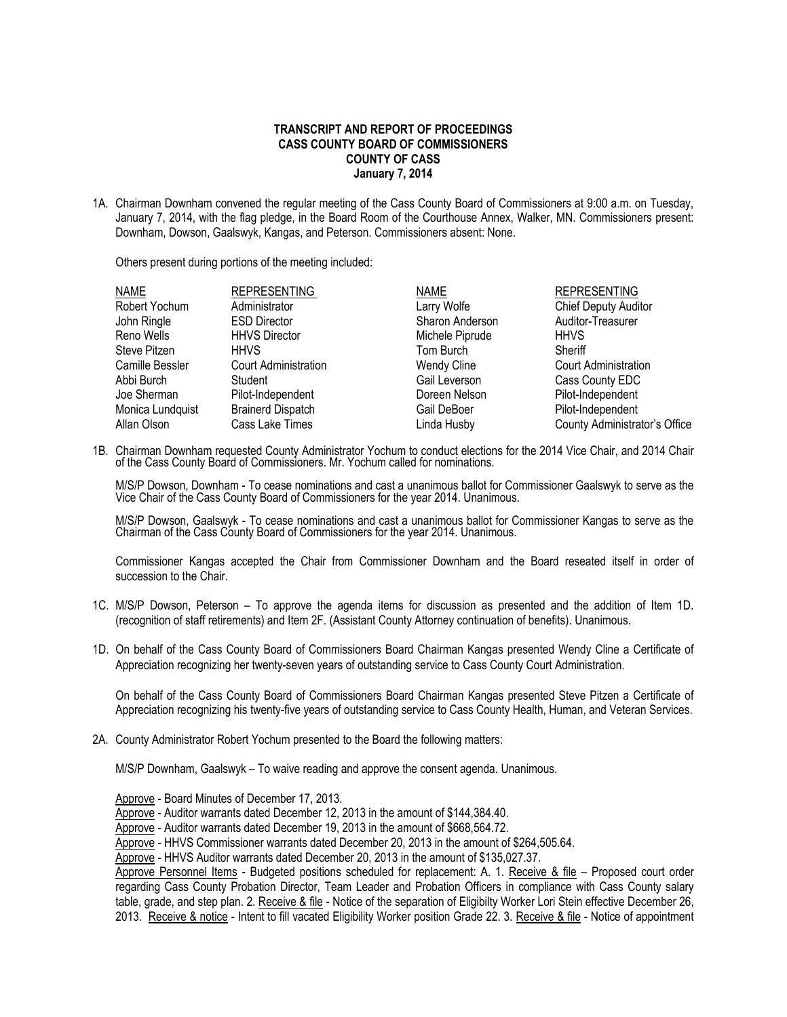## **TRANSCRIPT AND REPORT OF PROCEEDINGS CASS COUNTY BOARD OF COMMISSIONERS COUNTY OF CASS January 7, 2014**

1A. Chairman Downham convened the regular meeting of the Cass County Board of Commissioners at 9:00 a.m. on Tuesday, January 7, 2014, with the flag pledge, in the Board Room of the Courthouse Annex, Walker, MN. Commissioners present: Downham, Dowson, Gaalswyk, Kangas, and Peterson. Commissioners absent: None.

Others present during portions of the meeting included:

| <b>REPRESENTING</b>         | <b>NAME</b>        | <b>REPRESENTING</b>           |
|-----------------------------|--------------------|-------------------------------|
| Administrator               | Larry Wolfe        | <b>Chief Deputy Auditor</b>   |
| <b>ESD Director</b>         | Sharon Anderson    | Auditor-Treasurer             |
| <b>HHVS Director</b>        | Michele Piprude    | <b>HHVS</b>                   |
| <b>HHVS</b>                 | Tom Burch          | Sheriff                       |
| <b>Court Administration</b> | <b>Wendy Cline</b> | <b>Court Administration</b>   |
| Student                     | Gail Leverson      | Cass County EDC               |
| Pilot-Independent           | Doreen Nelson      | Pilot-Independent             |
| <b>Brainerd Dispatch</b>    | Gail DeBoer        | Pilot-Independent             |
| Cass Lake Times             | Linda Husby        | County Administrator's Office |
|                             |                    |                               |

1B. Chairman Downham requested County Administrator Yochum to conduct elections for the 2014 Vice Chair, and 2014 Chair of the Cass County Board of Commissioners. Mr. Yochum called for nominations.

M/S/P Dowson, Downham - To cease nominations and cast a unanimous ballot for Commissioner Gaalswyk to serve as the Vice Chair of the Cass County Board of Commissioners for the year 2014. Unanimous.

M/S/P Dowson, Gaalswyk - To cease nominations and cast a unanimous ballot for Commissioner Kangas to serve as the Chairman of the Cass County Board of Commissioners for the year 2014. Unanimous.

Commissioner Kangas accepted the Chair from Commissioner Downham and the Board reseated itself in order of succession to the Chair.

- 1C. M/S/P Dowson, Peterson To approve the agenda items for discussion as presented and the addition of Item 1D. (recognition of staff retirements) and Item 2F. (Assistant County Attorney continuation of benefits). Unanimous.
- 1D. On behalf of the Cass County Board of Commissioners Board Chairman Kangas presented Wendy Cline a Certificate of Appreciation recognizing her twenty-seven years of outstanding service to Cass County Court Administration.

On behalf of the Cass County Board of Commissioners Board Chairman Kangas presented Steve Pitzen a Certificate of Appreciation recognizing his twenty-five years of outstanding service to Cass County Health, Human, and Veteran Services.

2A. County Administrator Robert Yochum presented to the Board the following matters:

M/S/P Downham, Gaalswyk – To waive reading and approve the consent agenda. Unanimous.

Approve - Board Minutes of December 17, 2013.

Approve - Auditor warrants dated December 12, 2013 in the amount of \$144,384.40.

Approve - Auditor warrants dated December 19, 2013 in the amount of \$668,564.72.

Approve - HHVS Commissioner warrants dated December 20, 2013 in the amount of \$264,505.64.

Approve - HHVS Auditor warrants dated December 20, 2013 in the amount of \$135,027.37.

Approve Personnel Items - Budgeted positions scheduled for replacement: A. 1. Receive & file – Proposed court order regarding Cass County Probation Director, Team Leader and Probation Officers in compliance with Cass County salary table, grade, and step plan. 2. Receive & file - Notice of the separation of Eligibilty Worker Lori Stein effective December 26, 2013. Receive & notice - Intent to fill vacated Eligibility Worker position Grade 22. 3. Receive & file - Notice of appointment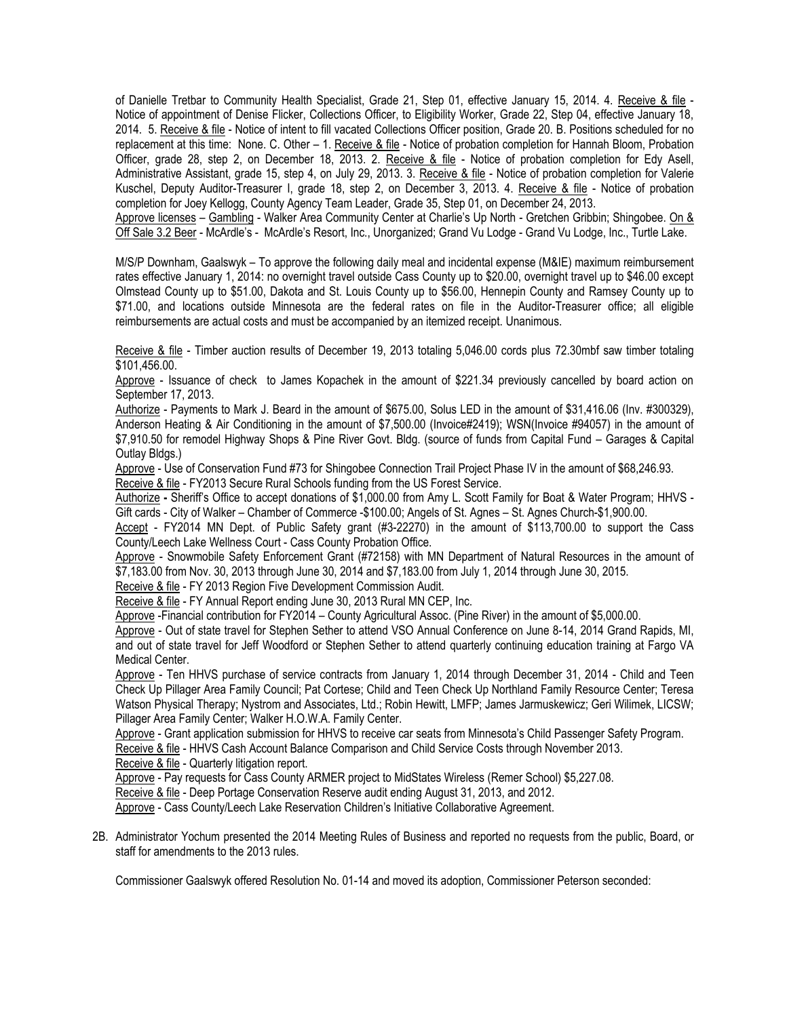of Danielle Tretbar to Community Health Specialist, Grade 21, Step 01, effective January 15, 2014. 4. Receive & file - Notice of appointment of Denise Flicker, Collections Officer, to Eligibility Worker, Grade 22, Step 04, effective January 18, 2014. 5. Receive & file - Notice of intent to fill vacated Collections Officer position, Grade 20. B. Positions scheduled for no replacement at this time: None. C. Other – 1. Receive & file - Notice of probation completion for Hannah Bloom, Probation Officer, grade 28, step 2, on December 18, 2013. 2. Receive & file - Notice of probation completion for Edy Asell, Administrative Assistant, grade 15, step 4, on July 29, 2013. 3. Receive & file - Notice of probation completion for Valerie Kuschel, Deputy Auditor-Treasurer I, grade 18, step 2, on December 3, 2013. 4. Receive & file - Notice of probation completion for Joey Kellogg, County Agency Team Leader, Grade 35, Step 01, on December 24, 2013.

Approve licenses - Gambling - Walker Area Community Center at Charlie's Up North - Gretchen Gribbin; Shingobee. On & Off Sale 3.2 Beer - McArdle's - McArdle's Resort, Inc., Unorganized; Grand Vu Lodge - Grand Vu Lodge, Inc., Turtle Lake.

M/S/P Downham, Gaalswyk – To approve the following daily meal and incidental expense (M&IE) maximum reimbursement rates effective January 1, 2014: no overnight travel outside Cass County up to \$20.00, overnight travel up to \$46.00 except Olmstead County up to \$51.00, Dakota and St. Louis County up to \$56.00, Hennepin County and Ramsey County up to \$71.00, and locations outside Minnesota are the federal rates on file in the Auditor-Treasurer office; all eligible reimbursements are actual costs and must be accompanied by an itemized receipt. Unanimous.

Receive & file - Timber auction results of December 19, 2013 totaling 5,046.00 cords plus 72.30mbf saw timber totaling \$101,456.00.

Approve - Issuance of check to James Kopachek in the amount of \$221.34 previously cancelled by board action on September 17, 2013.

Authorize - Payments to Mark J. Beard in the amount of \$675.00, Solus LED in the amount of \$31,416.06 (Inv. #300329), Anderson Heating & Air Conditioning in the amount of \$7,500.00 (Invoice#2419); WSN(Invoice #94057) in the amount of \$7,910.50 for remodel Highway Shops & Pine River Govt. Bldg. (source of funds from Capital Fund – Garages & Capital Outlay Bldgs.)

Approve - Use of Conservation Fund #73 for Shingobee Connection Trail Project Phase IV in the amount of \$68,246.93. Receive & file - FY2013 Secure Rural Schools funding from the US Forest Service.

Authorize **-** Sheriff's Office to accept donations of \$1,000.00 from Amy L. Scott Family for Boat & Water Program; HHVS - Gift cards - City of Walker – Chamber of Commerce -\$100.00; Angels of St. Agnes – St. Agnes Church-\$1,900.00.

 Accept - FY2014 MN Dept. of Public Safety grant (#3-22270) in the amount of \$113,700.00 to support the Cass County/Leech Lake Wellness Court - Cass County Probation Office.

Approve - Snowmobile Safety Enforcement Grant (#72158) with MN Department of Natural Resources in the amount of \$7,183.00 from Nov. 30, 2013 through June 30, 2014 and \$7,183.00 from July 1, 2014 through June 30, 2015.

Receive & file - FY 2013 Region Five Development Commission Audit.

Receive & file - FY Annual Report ending June 30, 2013 Rural MN CEP, Inc.

Approve -Financial contribution for FY2014 – County Agricultural Assoc. (Pine River) in the amount of \$5,000.00.

Approve - Out of state travel for Stephen Sether to attend VSO Annual Conference on June 8-14, 2014 Grand Rapids, MI, and out of state travel for Jeff Woodford or Stephen Sether to attend quarterly continuing education training at Fargo VA Medical Center.

Approve - Ten HHVS purchase of service contracts from January 1, 2014 through December 31, 2014 - Child and Teen Check Up Pillager Area Family Council; Pat Cortese; Child and Teen Check Up Northland Family Resource Center; Teresa Watson Physical Therapy; Nystrom and Associates, Ltd.; Robin Hewitt, LMFP; James Jarmuskewicz; Geri Wilimek, LICSW; Pillager Area Family Center; Walker H.O.W.A. Family Center.

Approve - Grant application submission for HHVS to receive car seats from Minnesota's Child Passenger Safety Program. Receive & file - HHVS Cash Account Balance Comparison and Child Service Costs through November 2013.

Receive & file - Quarterly litigation report.

Approve - Pay requests for Cass County ARMER project to MidStates Wireless (Remer School) \$5,227.08.

Receive & file - Deep Portage Conservation Reserve audit ending August 31, 2013, and 2012.

Approve - Cass County/Leech Lake Reservation Children's Initiative Collaborative Agreement.

2B. Administrator Yochum presented the 2014 Meeting Rules of Business and reported no requests from the public, Board, or staff for amendments to the 2013 rules.

Commissioner Gaalswyk offered Resolution No. 01-14 and moved its adoption, Commissioner Peterson seconded: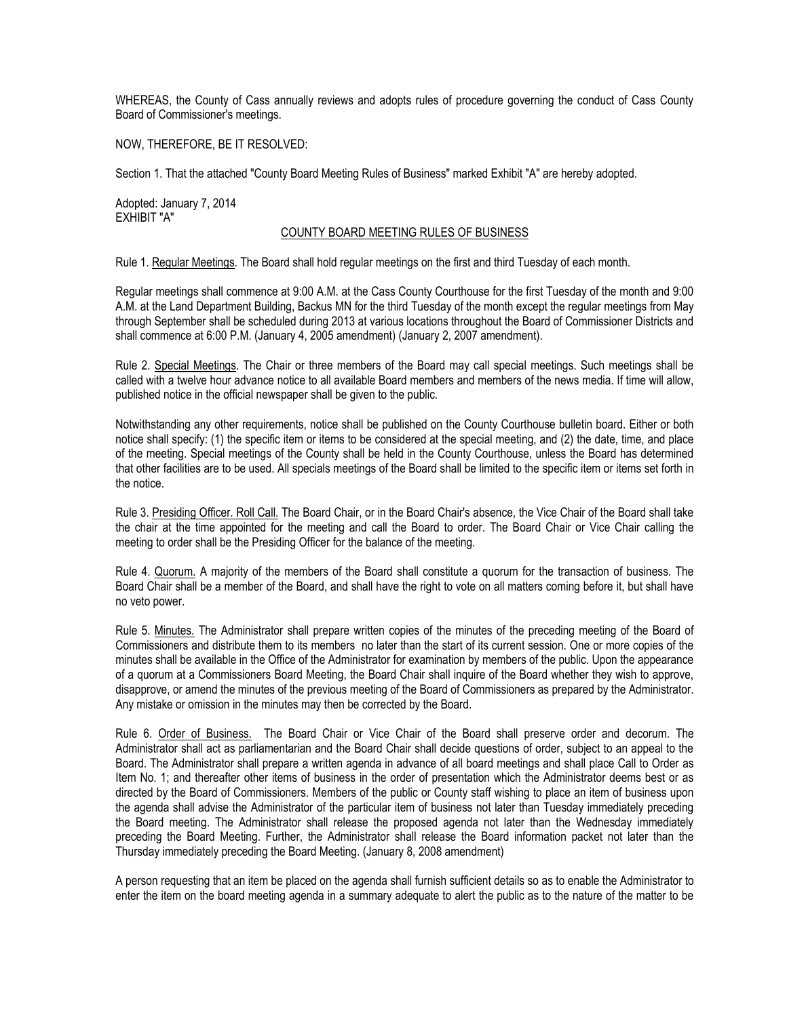WHEREAS, the County of Cass annually reviews and adopts rules of procedure governing the conduct of Cass County Board of Commissioner's meetings.

NOW, THEREFORE, BE IT RESOLVED:

Section 1. That the attached "County Board Meeting Rules of Business" marked Exhibit "A" are hereby adopted.

Adopted: January 7, 2014 EXHIBIT "A"

## COUNTY BOARD MEETING RULES OF BUSINESS

Rule 1. Regular Meetings. The Board shall hold regular meetings on the first and third Tuesday of each month.

Regular meetings shall commence at 9:00 A.M. at the Cass County Courthouse for the first Tuesday of the month and 9:00 A.M. at the Land Department Building, Backus MN for the third Tuesday of the month except the regular meetings from May through September shall be scheduled during 2013 at various locations throughout the Board of Commissioner Districts and shall commence at 6:00 P.M. (January 4, 2005 amendment) (January 2, 2007 amendment).

Rule 2. Special Meetings. The Chair or three members of the Board may call special meetings. Such meetings shall be called with a twelve hour advance notice to all available Board members and members of the news media. If time will allow, published notice in the official newspaper shall be given to the public.

Notwithstanding any other requirements, notice shall be published on the County Courthouse bulletin board. Either or both notice shall specify: (1) the specific item or items to be considered at the special meeting, and (2) the date, time, and place of the meeting. Special meetings of the County shall be held in the County Courthouse, unless the Board has determined that other facilities are to be used. All specials meetings of the Board shall be limited to the specific item or items set forth in the notice.

Rule 3. Presiding Officer. Roll Call. The Board Chair, or in the Board Chair's absence, the Vice Chair of the Board shall take the chair at the time appointed for the meeting and call the Board to order. The Board Chair or Vice Chair calling the meeting to order shall be the Presiding Officer for the balance of the meeting.

Rule 4. Quorum. A majority of the members of the Board shall constitute a quorum for the transaction of business. The Board Chair shall be a member of the Board, and shall have the right to vote on all matters coming before it, but shall have no veto power.

Rule 5. Minutes. The Administrator shall prepare written copies of the minutes of the preceding meeting of the Board of Commissioners and distribute them to its members no later than the start of its current session. One or more copies of the minutes shall be available in the Office of the Administrator for examination by members of the public. Upon the appearance of a quorum at a Commissioners Board Meeting, the Board Chair shall inquire of the Board whether they wish to approve, disapprove, or amend the minutes of the previous meeting of the Board of Commissioners as prepared by the Administrator. Any mistake or omission in the minutes may then be corrected by the Board.

Rule 6. Order of Business. The Board Chair or Vice Chair of the Board shall preserve order and decorum. The Administrator shall act as parliamentarian and the Board Chair shall decide questions of order, subject to an appeal to the Board. The Administrator shall prepare a written agenda in advance of all board meetings and shall place Call to Order as Item No. 1; and thereafter other items of business in the order of presentation which the Administrator deems best or as directed by the Board of Commissioners. Members of the public or County staff wishing to place an item of business upon the agenda shall advise the Administrator of the particular item of business not later than Tuesday immediately preceding the Board meeting. The Administrator shall release the proposed agenda not later than the Wednesday immediately preceding the Board Meeting. Further, the Administrator shall release the Board information packet not later than the Thursday immediately preceding the Board Meeting. (January 8, 2008 amendment)

A person requesting that an item be placed on the agenda shall furnish sufficient details so as to enable the Administrator to enter the item on the board meeting agenda in a summary adequate to alert the public as to the nature of the matter to be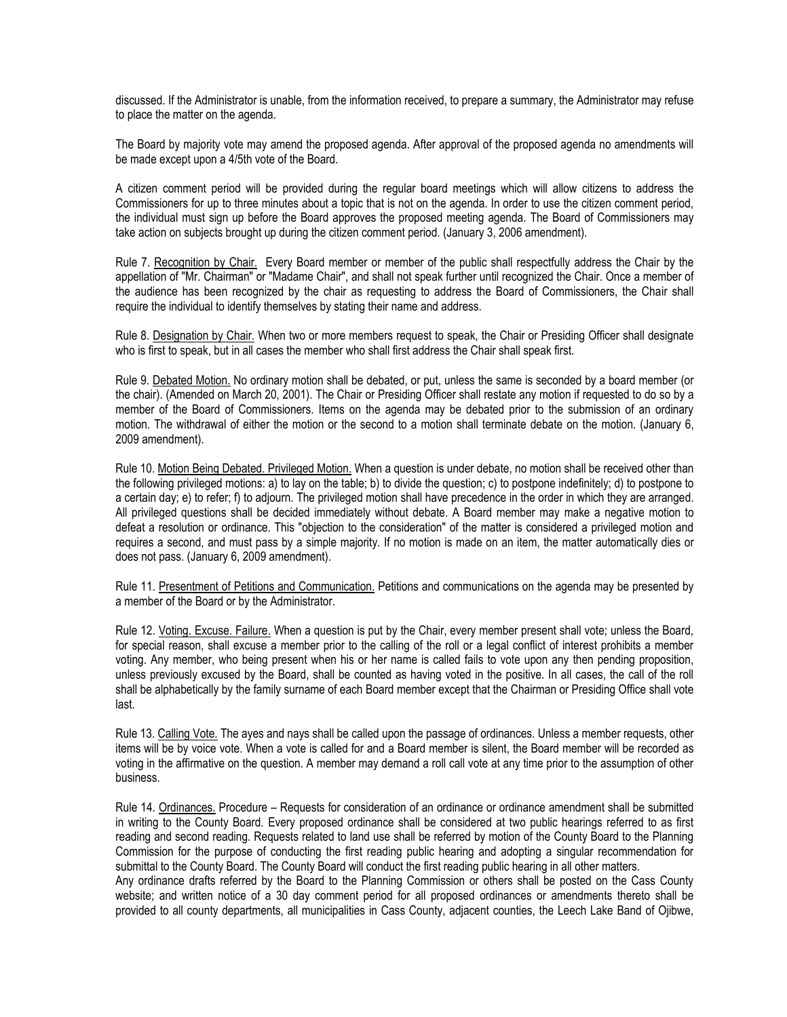discussed. If the Administrator is unable, from the information received, to prepare a summary, the Administrator may refuse to place the matter on the agenda.

The Board by majority vote may amend the proposed agenda. After approval of the proposed agenda no amendments will be made except upon a 4/5th vote of the Board.

A citizen comment period will be provided during the regular board meetings which will allow citizens to address the Commissioners for up to three minutes about a topic that is not on the agenda. In order to use the citizen comment period, the individual must sign up before the Board approves the proposed meeting agenda. The Board of Commissioners may take action on subjects brought up during the citizen comment period. (January 3, 2006 amendment).

Rule 7. Recognition by Chair. Every Board member or member of the public shall respectfully address the Chair by the appellation of "Mr. Chairman" or "Madame Chair", and shall not speak further until recognized the Chair. Once a member of the audience has been recognized by the chair as requesting to address the Board of Commissioners, the Chair shall require the individual to identify themselves by stating their name and address.

Rule 8. Designation by Chair. When two or more members request to speak, the Chair or Presiding Officer shall designate who is first to speak, but in all cases the member who shall first address the Chair shall speak first.

Rule 9. Debated Motion. No ordinary motion shall be debated, or put, unless the same is seconded by a board member (or the chair). (Amended on March 20, 2001). The Chair or Presiding Officer shall restate any motion if requested to do so by a member of the Board of Commissioners. Items on the agenda may be debated prior to the submission of an ordinary motion. The withdrawal of either the motion or the second to a motion shall terminate debate on the motion. (January 6, 2009 amendment).

Rule 10. Motion Being Debated. Privileged Motion. When a question is under debate, no motion shall be received other than the following privileged motions: a) to lay on the table; b) to divide the question; c) to postpone indefinitely; d) to postpone to a certain day; e) to refer; f) to adjourn. The privileged motion shall have precedence in the order in which they are arranged. All privileged questions shall be decided immediately without debate. A Board member may make a negative motion to defeat a resolution or ordinance. This "objection to the consideration" of the matter is considered a privileged motion and requires a second, and must pass by a simple majority. If no motion is made on an item, the matter automatically dies or does not pass. (January 6, 2009 amendment).

Rule 11. Presentment of Petitions and Communication. Petitions and communications on the agenda may be presented by a member of the Board or by the Administrator.

Rule 12. Voting. Excuse. Failure. When a question is put by the Chair, every member present shall vote; unless the Board, for special reason, shall excuse a member prior to the calling of the roll or a legal conflict of interest prohibits a member voting. Any member, who being present when his or her name is called fails to vote upon any then pending proposition, unless previously excused by the Board, shall be counted as having voted in the positive. In all cases, the call of the roll shall be alphabetically by the family surname of each Board member except that the Chairman or Presiding Office shall vote last.

Rule 13. Calling Vote. The ayes and nays shall be called upon the passage of ordinances. Unless a member requests, other items will be by voice vote. When a vote is called for and a Board member is silent, the Board member will be recorded as voting in the affirmative on the question. A member may demand a roll call vote at any time prior to the assumption of other business.

Rule 14. Ordinances. Procedure – Requests for consideration of an ordinance or ordinance amendment shall be submitted in writing to the County Board. Every proposed ordinance shall be considered at two public hearings referred to as first reading and second reading. Requests related to land use shall be referred by motion of the County Board to the Planning Commission for the purpose of conducting the first reading public hearing and adopting a singular recommendation for submittal to the County Board. The County Board will conduct the first reading public hearing in all other matters. Any ordinance drafts referred by the Board to the Planning Commission or others shall be posted on the Cass County website; and written notice of a 30 day comment period for all proposed ordinances or amendments thereto shall be

provided to all county departments, all municipalities in Cass County, adjacent counties, the Leech Lake Band of Ojibwe,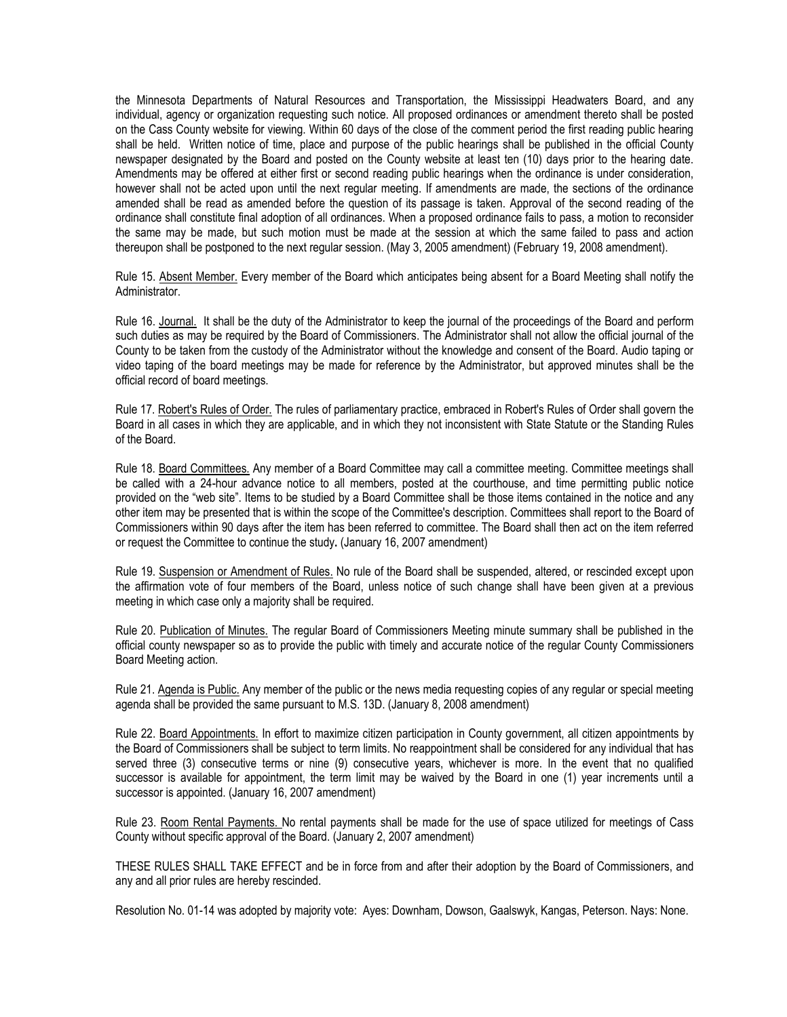the Minnesota Departments of Natural Resources and Transportation, the Mississippi Headwaters Board, and any individual, agency or organization requesting such notice. All proposed ordinances or amendment thereto shall be posted on the Cass County website for viewing. Within 60 days of the close of the comment period the first reading public hearing shall be held. Written notice of time, place and purpose of the public hearings shall be published in the official County newspaper designated by the Board and posted on the County website at least ten (10) days prior to the hearing date. Amendments may be offered at either first or second reading public hearings when the ordinance is under consideration, however shall not be acted upon until the next regular meeting. If amendments are made, the sections of the ordinance amended shall be read as amended before the question of its passage is taken. Approval of the second reading of the ordinance shall constitute final adoption of all ordinances. When a proposed ordinance fails to pass, a motion to reconsider the same may be made, but such motion must be made at the session at which the same failed to pass and action thereupon shall be postponed to the next regular session. (May 3, 2005 amendment) (February 19, 2008 amendment).

Rule 15. Absent Member. Every member of the Board which anticipates being absent for a Board Meeting shall notify the Administrator.

Rule 16. Journal. It shall be the duty of the Administrator to keep the journal of the proceedings of the Board and perform such duties as may be required by the Board of Commissioners. The Administrator shall not allow the official journal of the County to be taken from the custody of the Administrator without the knowledge and consent of the Board. Audio taping or video taping of the board meetings may be made for reference by the Administrator, but approved minutes shall be the official record of board meetings.

Rule 17. Robert's Rules of Order. The rules of parliamentary practice, embraced in Robert's Rules of Order shall govern the Board in all cases in which they are applicable, and in which they not inconsistent with State Statute or the Standing Rules of the Board.

Rule 18. Board Committees. Any member of a Board Committee may call a committee meeting. Committee meetings shall be called with a 24-hour advance notice to all members, posted at the courthouse, and time permitting public notice provided on the "web site". Items to be studied by a Board Committee shall be those items contained in the notice and any other item may be presented that is within the scope of the Committee's description. Committees shall report to the Board of Commissioners within 90 days after the item has been referred to committee. The Board shall then act on the item referred or request the Committee to continue the study**.** (January 16, 2007 amendment)

Rule 19. Suspension or Amendment of Rules. No rule of the Board shall be suspended, altered, or rescinded except upon the affirmation vote of four members of the Board, unless notice of such change shall have been given at a previous meeting in which case only a majority shall be required.

Rule 20. Publication of Minutes. The regular Board of Commissioners Meeting minute summary shall be published in the official county newspaper so as to provide the public with timely and accurate notice of the regular County Commissioners Board Meeting action.

Rule 21. Agenda is Public. Any member of the public or the news media requesting copies of any regular or special meeting agenda shall be provided the same pursuant to M.S. 13D. (January 8, 2008 amendment)

Rule 22. Board Appointments. In effort to maximize citizen participation in County government, all citizen appointments by the Board of Commissioners shall be subject to term limits. No reappointment shall be considered for any individual that has served three (3) consecutive terms or nine (9) consecutive years, whichever is more. In the event that no qualified successor is available for appointment, the term limit may be waived by the Board in one (1) year increments until a successor is appointed. (January 16, 2007 amendment)

Rule 23. Room Rental Payments. No rental payments shall be made for the use of space utilized for meetings of Cass County without specific approval of the Board. (January 2, 2007 amendment)

THESE RULES SHALL TAKE EFFECT and be in force from and after their adoption by the Board of Commissioners, and any and all prior rules are hereby rescinded.

Resolution No. 01-14 was adopted by majority vote: Ayes: Downham, Dowson, Gaalswyk, Kangas, Peterson. Nays: None.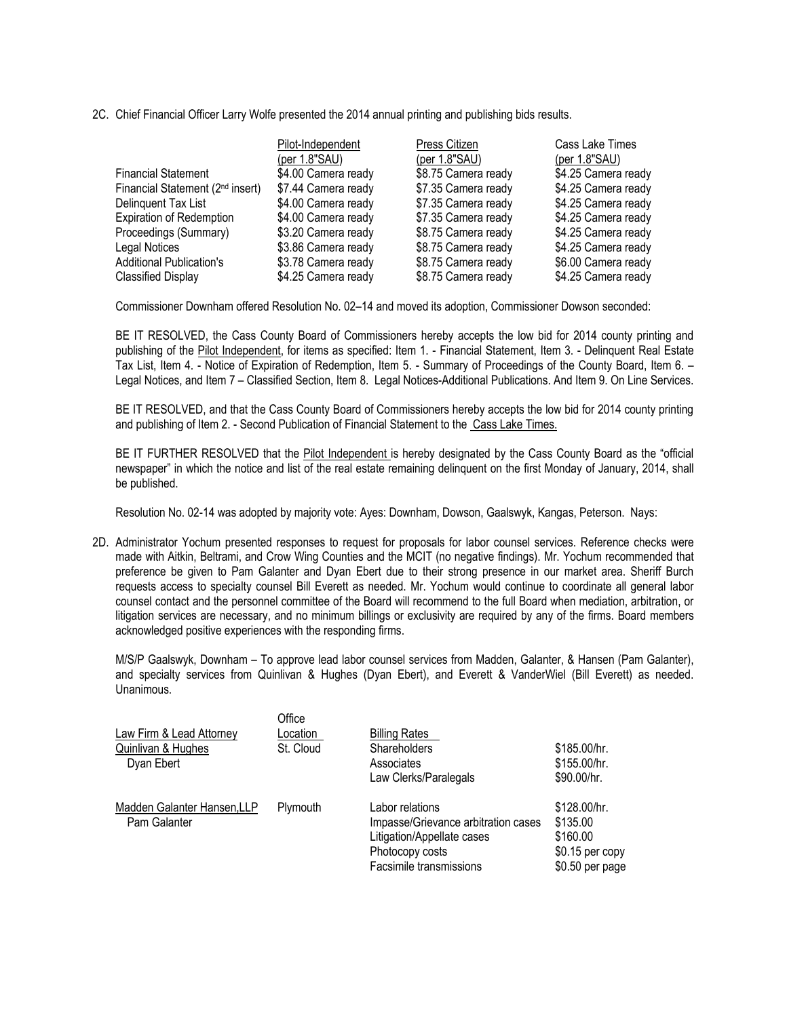2C. Chief Financial Officer Larry Wolfe presented the 2014 annual printing and publishing bids results.

|                                              | Pilot-Independent   | Press Citizen       | Cass Lake Times     |
|----------------------------------------------|---------------------|---------------------|---------------------|
|                                              | (per 1.8"SAU)       | (per 1.8"SAU)       | (per $1.8$ "SAU)    |
| <b>Financial Statement</b>                   | \$4.00 Camera ready | \$8.75 Camera ready | \$4.25 Camera ready |
| Financial Statement (2 <sup>nd</sup> insert) | \$7.44 Camera ready | \$7.35 Camera ready | \$4.25 Camera ready |
| Delinquent Tax List                          | \$4.00 Camera ready | \$7.35 Camera ready | \$4.25 Camera ready |
| <b>Expiration of Redemption</b>              | \$4.00 Camera ready | \$7.35 Camera ready | \$4.25 Camera ready |
| Proceedings (Summary)                        | \$3.20 Camera ready | \$8.75 Camera ready | \$4.25 Camera ready |
| Legal Notices                                | \$3.86 Camera ready | \$8.75 Camera ready | \$4.25 Camera ready |
| <b>Additional Publication's</b>              | \$3.78 Camera ready | \$8.75 Camera ready | \$6.00 Camera ready |
| <b>Classified Display</b>                    | \$4.25 Camera ready | \$8.75 Camera ready | \$4.25 Camera ready |

Commissioner Downham offered Resolution No. 02–14 and moved its adoption, Commissioner Dowson seconded:

BE IT RESOLVED, the Cass County Board of Commissioners hereby accepts the low bid for 2014 county printing and publishing of the Pilot Independent, for items as specified: Item 1. - Financial Statement, Item 3. - Delinquent Real Estate Tax List, Item 4. - Notice of Expiration of Redemption, Item 5. - Summary of Proceedings of the County Board, Item 6. – Legal Notices, and Item 7 – Classified Section, Item 8. Legal Notices-Additional Publications. And Item 9. On Line Services.

BE IT RESOLVED, and that the Cass County Board of Commissioners hereby accepts the low bid for 2014 county printing and publishing of Item 2. - Second Publication of Financial Statement to the Cass Lake Times.

BE IT FURTHER RESOLVED that the Pilot Independent is hereby designated by the Cass County Board as the "official newspaper" in which the notice and list of the real estate remaining delinquent on the first Monday of January, 2014, shall be published.

Resolution No. 02-14 was adopted by majority vote: Ayes: Downham, Dowson, Gaalswyk, Kangas, Peterson. Nays:

2D. Administrator Yochum presented responses to request for proposals for labor counsel services. Reference checks were made with Aitkin, Beltrami, and Crow Wing Counties and the MCIT (no negative findings). Mr. Yochum recommended that preference be given to Pam Galanter and Dyan Ebert due to their strong presence in our market area. Sheriff Burch requests access to specialty counsel Bill Everett as needed. Mr. Yochum would continue to coordinate all general labor counsel contact and the personnel committee of the Board will recommend to the full Board when mediation, arbitration, or litigation services are necessary, and no minimum billings or exclusivity are required by any of the firms. Board members acknowledged positive experiences with the responding firms.

M/S/P Gaalswyk, Downham – To approve lead labor counsel services from Madden, Galanter, & Hansen (Pam Galanter), and specialty services from Quinlivan & Hughes (Dyan Ebert), and Everett & VanderWiel (Bill Everett) as needed. Unanimous.

| Law Firm & Lead Attorney<br>Quinlivan & Hughes<br>Dyan Ebert | Office<br>Location<br>St. Cloud | <b>Billing Rates</b><br>Shareholders<br>Associates<br>Law Clerks/Paralegals                                                        | \$185.00/hr.<br>\$155.00/hr.<br>\$90.00/hr.                                 |
|--------------------------------------------------------------|---------------------------------|------------------------------------------------------------------------------------------------------------------------------------|-----------------------------------------------------------------------------|
| Madden Galanter Hansen, LLP<br>Pam Galanter                  | Plymouth                        | Labor relations<br>Impasse/Grievance arbitration cases<br>Litigation/Appellate cases<br>Photocopy costs<br>Facsimile transmissions | \$128.00/hr.<br>\$135.00<br>\$160.00<br>$$0.15$ per copy<br>\$0.50 per page |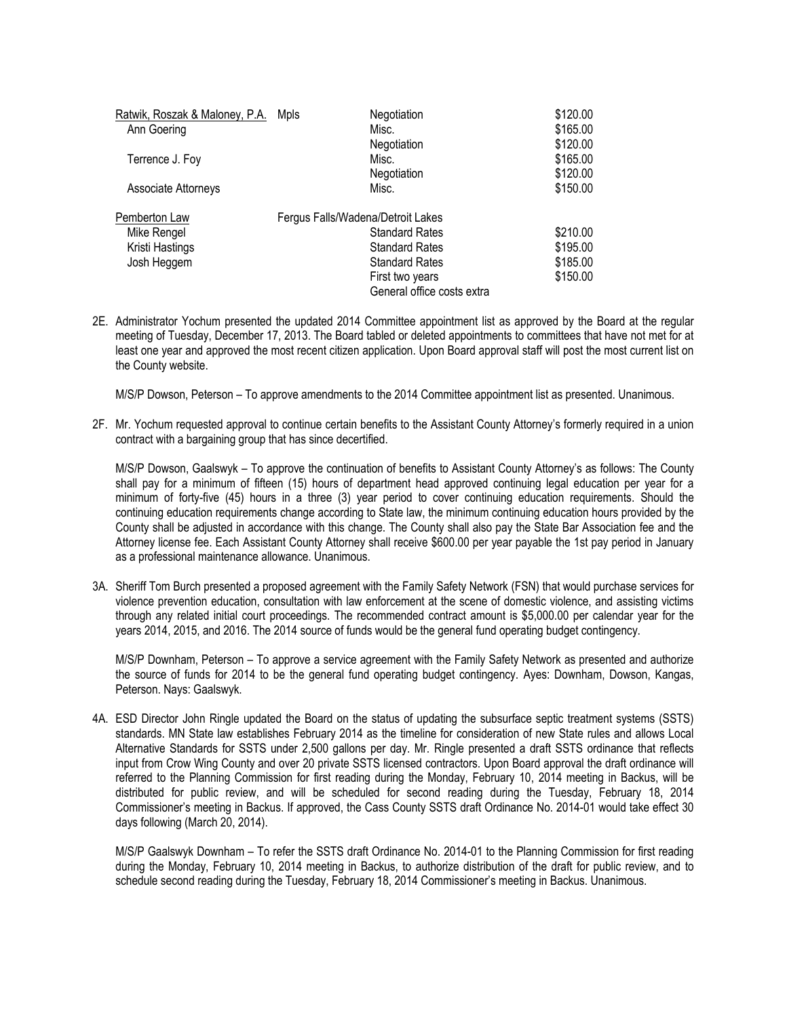| Ratwik, Roszak & Maloney, P.A. | Mpls | Negotiation                       | \$120.00 |
|--------------------------------|------|-----------------------------------|----------|
| Ann Goering                    |      | Misc.                             | \$165.00 |
|                                |      | Negotiation                       | \$120.00 |
| Terrence J. Foy                |      | Misc.                             | \$165.00 |
|                                |      | Negotiation                       | \$120.00 |
| <b>Associate Attorneys</b>     |      | Misc.                             | \$150.00 |
| Pemberton Law                  |      | Fergus Falls/Wadena/Detroit Lakes |          |
| Mike Rengel                    |      | <b>Standard Rates</b>             | \$210.00 |
| Kristi Hastings                |      | <b>Standard Rates</b>             | \$195.00 |
| Josh Heggem                    |      | <b>Standard Rates</b>             | \$185.00 |
|                                |      | First two years                   | \$150.00 |
|                                |      | General office costs extra        |          |

2E. Administrator Yochum presented the updated 2014 Committee appointment list as approved by the Board at the regular meeting of Tuesday, December 17, 2013. The Board tabled or deleted appointments to committees that have not met for at least one year and approved the most recent citizen application. Upon Board approval staff will post the most current list on the County website.

M/S/P Dowson, Peterson – To approve amendments to the 2014 Committee appointment list as presented. Unanimous.

2F. Mr. Yochum requested approval to continue certain benefits to the Assistant County Attorney's formerly required in a union contract with a bargaining group that has since decertified.

M/S/P Dowson, Gaalswyk – To approve the continuation of benefits to Assistant County Attorney's as follows: The County shall pay for a minimum of fifteen (15) hours of department head approved continuing legal education per year for a minimum of forty-five (45) hours in a three (3) year period to cover continuing education requirements. Should the continuing education requirements change according to State law, the minimum continuing education hours provided by the County shall be adjusted in accordance with this change. The County shall also pay the State Bar Association fee and the Attorney license fee. Each Assistant County Attorney shall receive \$600.00 per year payable the 1st pay period in January as a professional maintenance allowance. Unanimous.

3A. Sheriff Tom Burch presented a proposed agreement with the Family Safety Network (FSN) that would purchase services for violence prevention education, consultation with law enforcement at the scene of domestic violence, and assisting victims through any related initial court proceedings. The recommended contract amount is \$5,000.00 per calendar year for the years 2014, 2015, and 2016. The 2014 source of funds would be the general fund operating budget contingency.

M/S/P Downham, Peterson – To approve a service agreement with the Family Safety Network as presented and authorize the source of funds for 2014 to be the general fund operating budget contingency. Ayes: Downham, Dowson, Kangas, Peterson. Nays: Gaalswyk.

4A. ESD Director John Ringle updated the Board on the status of updating the subsurface septic treatment systems (SSTS) standards. MN State law establishes February 2014 as the timeline for consideration of new State rules and allows Local Alternative Standards for SSTS under 2,500 gallons per day. Mr. Ringle presented a draft SSTS ordinance that reflects input from Crow Wing County and over 20 private SSTS licensed contractors. Upon Board approval the draft ordinance will referred to the Planning Commission for first reading during the Monday, February 10, 2014 meeting in Backus, will be distributed for public review, and will be scheduled for second reading during the Tuesday, February 18, 2014 Commissioner's meeting in Backus. If approved, the Cass County SSTS draft Ordinance No. 2014-01 would take effect 30 days following (March 20, 2014).

M/S/P Gaalswyk Downham – To refer the SSTS draft Ordinance No. 2014-01 to the Planning Commission for first reading during the Monday, February 10, 2014 meeting in Backus, to authorize distribution of the draft for public review, and to schedule second reading during the Tuesday, February 18, 2014 Commissioner's meeting in Backus. Unanimous.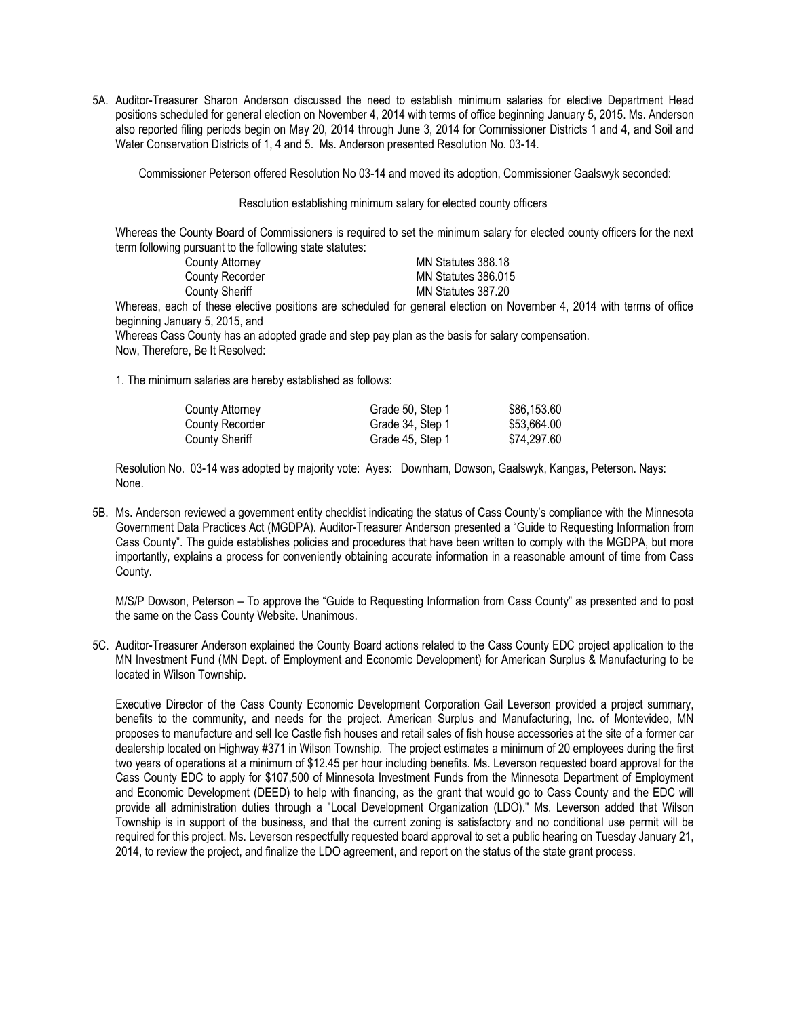5A. Auditor-Treasurer Sharon Anderson discussed the need to establish minimum salaries for elective Department Head positions scheduled for general election on November 4, 2014 with terms of office beginning January 5, 2015. Ms. Anderson also reported filing periods begin on May 20, 2014 through June 3, 2014 for Commissioner Districts 1 and 4, and Soil and Water Conservation Districts of 1, 4 and 5. Ms. Anderson presented Resolution No. 03-14.

Commissioner Peterson offered Resolution No 03-14 and moved its adoption, Commissioner Gaalswyk seconded:

Resolution establishing minimum salary for elected county officers

Whereas the County Board of Commissioners is required to set the minimum salary for elected county officers for the next term following pursuant to the following state statutes:

| County Attorney | MN Statutes 388.18  |
|-----------------|---------------------|
| County Recorder | MN Statutes 386,015 |
| County Sheriff  | MN Statutes 387.20  |

Whereas, each of these elective positions are scheduled for general election on November 4, 2014 with terms of office beginning January 5, 2015, and

Whereas Cass County has an adopted grade and step pay plan as the basis for salary compensation. Now, Therefore, Be It Resolved:

1. The minimum salaries are hereby established as follows:

| County Attorney | Grade 50, Step 1 | \$86,153.60 |
|-----------------|------------------|-------------|
| County Recorder | Grade 34, Step 1 | \$53.664.00 |
| County Sheriff  | Grade 45, Step 1 | \$74.297.60 |

Resolution No. 03-14 was adopted by majority vote: Ayes: Downham, Dowson, Gaalswyk, Kangas, Peterson. Nays: None.

5B. Ms. Anderson reviewed a government entity checklist indicating the status of Cass County's compliance with the Minnesota Government Data Practices Act (MGDPA). Auditor-Treasurer Anderson presented a "Guide to Requesting Information from Cass County". The guide establishes policies and procedures that have been written to comply with the MGDPA, but more importantly, explains a process for conveniently obtaining accurate information in a reasonable amount of time from Cass County.

M/S/P Dowson, Peterson – To approve the "Guide to Requesting Information from Cass County" as presented and to post the same on the Cass County Website. Unanimous.

5C. Auditor-Treasurer Anderson explained the County Board actions related to the Cass County EDC project application to the MN Investment Fund (MN Dept. of Employment and Economic Development) for American Surplus & Manufacturing to be located in Wilson Township.

Executive Director of the Cass County Economic Development Corporation Gail Leverson provided a project summary, benefits to the community, and needs for the project. American Surplus and Manufacturing, Inc. of Montevideo, MN proposes to manufacture and sell Ice Castle fish houses and retail sales of fish house accessories at the site of a former car dealership located on Highway #371 in Wilson Township. The project estimates a minimum of 20 employees during the first two years of operations at a minimum of \$12.45 per hour including benefits. Ms. Leverson requested board approval for the Cass County EDC to apply for \$107,500 of Minnesota Investment Funds from the Minnesota Department of Employment and Economic Development (DEED) to help with financing, as the grant that would go to Cass County and the EDC will provide all administration duties through a "Local Development Organization (LDO)." Ms. Leverson added that Wilson Township is in support of the business, and that the current zoning is satisfactory and no conditional use permit will be required for this project. Ms. Leverson respectfully requested board approval to set a public hearing on Tuesday January 21, 2014, to review the project, and finalize the LDO agreement, and report on the status of the state grant process.